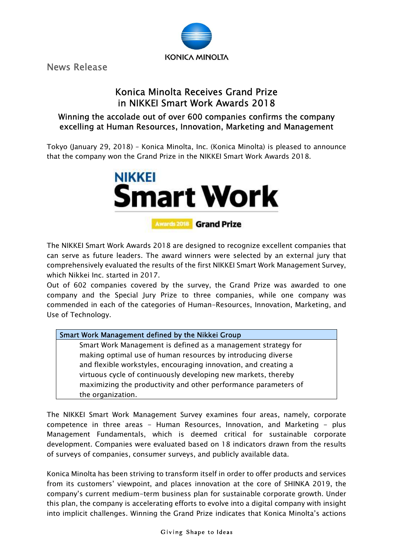

News Release

# Konica Minolta Receives Grand Prize in NIKKEI Smart Work Awards 2018

# Winning the accolade out of over 600 companies confirms the company excelling at Human Resources, Innovation, Marketing and Management

Tokyo (January 29, 2018) – Konica Minolta, Inc. (Konica Minolta) is pleased to announce that the company won the Grand Prize in the NIKKEI Smart Work Awards 2018.



The NIKKEI Smart Work Awards 2018 are designed to recognize excellent companies that can serve as future leaders. The award winners were selected by an external jury that comprehensively evaluated the results of the first NIKKEI Smart Work Management Survey, which Nikkei Inc. started in 2017.

Out of 602 companies covered by the survey, the Grand Prize was awarded to one company and the Special Jury Prize to three companies, while one company was commended in each of the categories of Human-Resources, Innovation, Marketing, and Use of Technology.

## Smart Work Management defined by the Nikkei Group

Smart Work Management is defined as a management strategy for making optimal use of human resources by introducing diverse and flexible workstyles, encouraging innovation, and creating a virtuous cycle of continuously developing new markets, thereby maximizing the productivity and other performance parameters of the organization.

The NIKKEI Smart Work Management Survey examines four areas, namely, corporate competence in three areas - Human Resources, Innovation, and Marketing - plus Management Fundamentals, which is deemed critical for sustainable corporate development. Companies were evaluated based on 18 indicators drawn from the results of surveys of companies, consumer surveys, and publicly available data.

Konica Minolta has been striving to transform itself in order to offer products and services from its customers' viewpoint, and places innovation at the core of SHINKA 2019, the company's current medium-term business plan for sustainable corporate growth. Under this plan, the company is accelerating efforts to evolve into a digital company with insight into implicit challenges. Winning the Grand Prize indicates that Konica Minolta's actions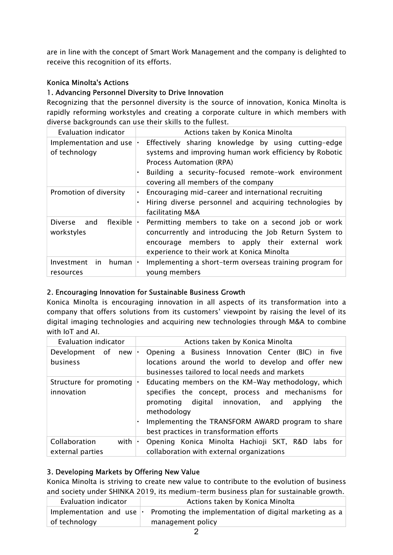are in line with the concept of Smart Work Management and the company is delighted to receive this recognition of its efforts.

## Konica Minolta's Actions

#### 1. Advancing Personnel Diversity to Drive Innovation

Recognizing that the personnel diversity is the source of innovation, Konica Minolta is rapidly reforming workstyles and creating a corporate culture in which members with diverse backgrounds can use their skills to the fullest.

| Evaluation indicator                      | Actions taken by Konica Minolta                                                                                                                                                                                                                      |  |
|-------------------------------------------|------------------------------------------------------------------------------------------------------------------------------------------------------------------------------------------------------------------------------------------------------|--|
| Implementation and use<br>of technology   | Effectively sharing knowledge by using cutting-edge<br>$\bullet$<br>systems and improving human work efficiency by Robotic<br>Process Automation (RPA)<br>Building a security-focused remote-work environment<br>covering all members of the company |  |
| Promotion of diversity                    | Encouraging mid-career and international recruiting<br>Hiring diverse personnel and acquiring technologies by<br>facilitating M&A                                                                                                                    |  |
| flexible<br>Diverse.<br>and<br>workstyles | Permitting members to take on a second job or work<br>concurrently and introducing the Job Return System to<br>encourage members to apply their external<br>work<br>experience to their work at Konica Minolta                                       |  |
| Investment<br>human<br>in.<br>resources   | Implementing a short-term overseas training program for<br>young members                                                                                                                                                                             |  |

#### 2. Encouraging Innovation for Sustainable Business Growth

Konica Minolta is encouraging innovation in all aspects of its transformation into a company that offers solutions from its customers' viewpoint by raising the level of its digital imaging technologies and acquiring new technologies through M&A to combine with IoT and AI.

| Evaluation indicator                          | Actions taken by Konica Minolta                                                                                                                                                                                                                                                    |
|-----------------------------------------------|------------------------------------------------------------------------------------------------------------------------------------------------------------------------------------------------------------------------------------------------------------------------------------|
| Development of new<br>business                | Opening a Business Innovation Center (BIC) in five<br>$\cdot$<br>locations around the world to develop and offer new<br>businesses tailored to local needs and markets                                                                                                             |
| Structure for promoting $\cdot$<br>innovation | Educating members on the KM-Way methodology, which<br>specifies the concept, process and mechanisms for<br>digital innovation, and<br>promoting<br>the<br>applying<br>methodology<br>Implementing the TRANSFORM AWARD program to share<br>best practices in transformation efforts |
| Collaboration<br>with<br>external parties     | Opening Konica Minolta Hachioji SKT, R&D labs for<br>collaboration with external organizations                                                                                                                                                                                     |

## 3. Developing Markets by Offering New Value

Konica Minolta is striving to create new value to contribute to the evolution of business and society under SHINKA 2019, its medium-term business plan for sustainable growth.

| Evaluation indicator | Actions taken by Konica Minolta                                                       |  |
|----------------------|---------------------------------------------------------------------------------------|--|
|                      | Implementation and use $\cdot$ Promoting the implementation of digital marketing as a |  |
| of technology        | management policy                                                                     |  |